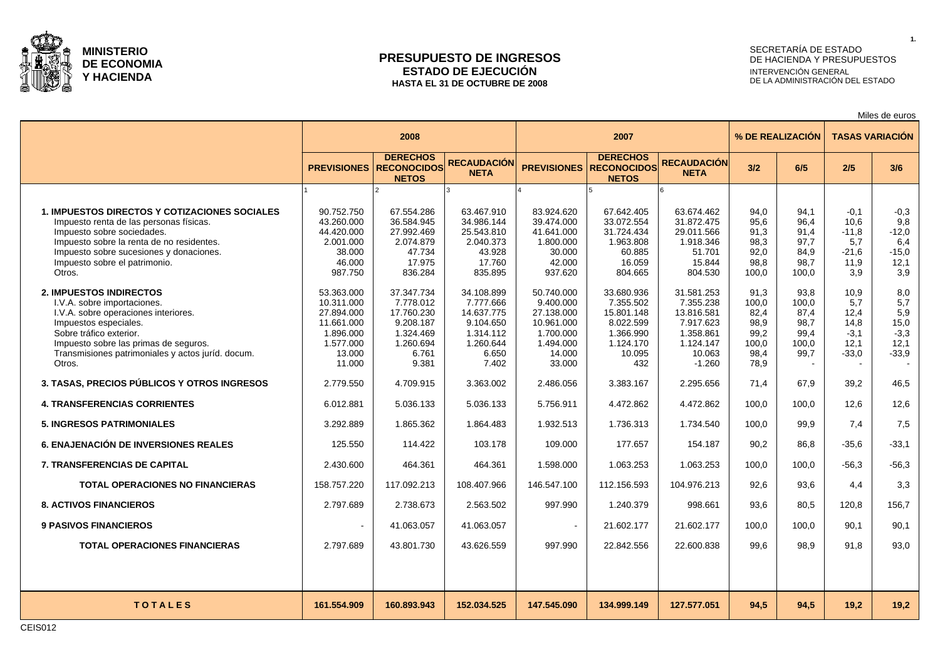

### **PRESUPUESTO DE INGRESOS ESTADO DE EJECUCIÓN HASTA EL 31 DE OCTUBRE DE 2008**

# SECRETARÍA DE ESTADO DE HACIENDA Y PRESUPUESTOS INTERVENCIÓN GENERAL DE LA ADMINISTRACIÓN DEL ESTADO

Miles de euros

|                                                                                                                                                                                                                                                                   | 2008                                                                                               |                                                                                                |                                                                                                |                                                                                                   |                                                                                               | % DE REALIZACIÓN                                                                                   | <b>TASAS VARIACIÓN</b>                                         |                                                        |                                                          |                                                           |
|-------------------------------------------------------------------------------------------------------------------------------------------------------------------------------------------------------------------------------------------------------------------|----------------------------------------------------------------------------------------------------|------------------------------------------------------------------------------------------------|------------------------------------------------------------------------------------------------|---------------------------------------------------------------------------------------------------|-----------------------------------------------------------------------------------------------|----------------------------------------------------------------------------------------------------|----------------------------------------------------------------|--------------------------------------------------------|----------------------------------------------------------|-----------------------------------------------------------|
|                                                                                                                                                                                                                                                                   |                                                                                                    | <b>DERECHOS</b><br><b>PREVISIONES RECONOCIDOS</b><br><b>NETOS</b>                              | <b>RECAUDACIÓN</b><br><b>NETA</b>                                                              | <b>PREVISIONES</b>                                                                                | <b>DERECHOS</b><br><b>RECONOCIDOS</b><br><b>NETOS</b>                                         | <b>RECAUDACIÓN</b><br><b>NETA</b>                                                                  | 3/2                                                            | 6/5                                                    | 2/5                                                      | 3/6                                                       |
|                                                                                                                                                                                                                                                                   |                                                                                                    |                                                                                                |                                                                                                |                                                                                                   |                                                                                               |                                                                                                    |                                                                |                                                        |                                                          |                                                           |
| <b>1. IMPUESTOS DIRECTOS Y COTIZACIONES SOCIALES</b><br>Impuesto renta de las personas físicas.<br>Impuesto sobre sociedades.<br>Impuesto sobre la renta de no residentes.<br>Impuesto sobre sucesiones y donaciones.<br>Impuesto sobre el patrimonio.<br>Otros.  | 90.752.750<br>43.260.000<br>44.420.000<br>2.001.000<br>38.000<br>46.000<br>987.750                 | 67.554.286<br>36.584.945<br>27.992.469<br>2.074.879<br>47.734<br>17.975<br>836.284             | 63.467.910<br>34.986.144<br>25.543.810<br>2.040.373<br>43.928<br>17.760<br>835.895             | 83.924.620<br>39.474.000<br>41.641.000<br>1.800.000<br>30.000<br>42.000<br>937.620                | 67.642.405<br>33.072.554<br>31.724.434<br>1.963.808<br>60.885<br>16.059<br>804.665            | 63.674.462<br>31.872.475<br>29.011.566<br>1.918.346<br>51.701<br>15.844<br>804.530                 | 94.0<br>95,6<br>91,3<br>98,3<br>92,0<br>98,8<br>100,0          | 94.1<br>96,4<br>91,4<br>97,7<br>84,9<br>98,7<br>100,0  | $-0.1$<br>10,6<br>$-11,8$<br>5,7<br>-21,6<br>11,9<br>3.9 | $-0,3$<br>9,8<br>$-12,0$<br>6,4<br>$-15,0$<br>12,1<br>3,9 |
| <b>2. IMPUESTOS INDIRECTOS</b><br>I.V.A. sobre importaciones.<br>I.V.A. sobre operaciones interiores.<br>Impuestos especiales.<br>Sobre tráfico exterior.<br>Impuesto sobre las primas de seguros.<br>Transmisiones patrimoniales y actos juríd. docum.<br>Otros. | 53.363.000<br>10.311.000<br>27.894.000<br>11.661.000<br>1.896.000<br>1.577.000<br>13.000<br>11.000 | 37.347.734<br>7.778.012<br>17.760.230<br>9.208.187<br>1.324.469<br>1.260.694<br>6.761<br>9.381 | 34.108.899<br>7.777.666<br>14.637.775<br>9.104.650<br>1.314.112<br>1.260.644<br>6.650<br>7.402 | 50.740.000<br>9.400.000<br>27.138.000<br>10.961.000<br>1.700.000<br>1.494.000<br>14.000<br>33.000 | 33.680.936<br>7.355.502<br>15.801.148<br>8.022.599<br>1.366.990<br>1.124.170<br>10.095<br>432 | 31.581.253<br>7.355.238<br>13.816.581<br>7.917.623<br>1.358.861<br>1.124.147<br>10.063<br>$-1.260$ | 91,3<br>100.0<br>82.4<br>98,9<br>99,2<br>100,0<br>98,4<br>78,9 | 93,8<br>100.0<br>87.4<br>98,7<br>99,4<br>100,0<br>99,7 | 10.9<br>5.7<br>12.4<br>14,8<br>$-3,1$<br>12,1<br>$-33,0$ | 8,0<br>5,7<br>5,9<br>15,0<br>$-3,3$<br>12,1<br>$-33.9$    |
| 3. TASAS, PRECIOS PÚBLICOS Y OTROS INGRESOS                                                                                                                                                                                                                       | 2.779.550                                                                                          | 4.709.915                                                                                      | 3.363.002                                                                                      | 2.486.056                                                                                         | 3.383.167                                                                                     | 2.295.656                                                                                          | 71.4                                                           | 67.9                                                   | 39.2                                                     | 46,5                                                      |
| <b>4. TRANSFERENCIAS CORRIENTES</b>                                                                                                                                                                                                                               | 6.012.881                                                                                          | 5.036.133                                                                                      | 5.036.133                                                                                      | 5.756.911                                                                                         | 4.472.862                                                                                     | 4.472.862                                                                                          | 100.0                                                          | 100.0                                                  | 12.6                                                     | 12,6                                                      |
| <b>5. INGRESOS PATRIMONIALES</b>                                                                                                                                                                                                                                  | 3.292.889                                                                                          | 1.865.362                                                                                      | 1.864.483                                                                                      | 1.932.513                                                                                         | 1.736.313                                                                                     | 1.734.540                                                                                          | 100,0                                                          | 99,9                                                   | 7.4                                                      | 7,5                                                       |
| <b>6. ENAJENACIÓN DE INVERSIONES REALES</b>                                                                                                                                                                                                                       | 125.550                                                                                            | 114.422                                                                                        | 103.178                                                                                        | 109.000                                                                                           | 177.657                                                                                       | 154.187                                                                                            | 90,2                                                           | 86.8                                                   | $-35.6$                                                  | $-33,1$                                                   |
| <b>7. TRANSFERENCIAS DE CAPITAL</b>                                                                                                                                                                                                                               | 2.430.600                                                                                          | 464.361                                                                                        | 464.361                                                                                        | 1.598.000                                                                                         | 1.063.253                                                                                     | 1.063.253                                                                                          | 100.0                                                          | 100.0                                                  | $-56.3$                                                  | $-56,3$                                                   |
| <b>TOTAL OPERACIONES NO FINANCIERAS</b>                                                                                                                                                                                                                           | 158.757.220                                                                                        | 117.092.213                                                                                    | 108.407.966                                                                                    | 146.547.100                                                                                       | 112.156.593                                                                                   | 104.976.213                                                                                        | 92.6                                                           | 93.6                                                   | 4.4                                                      | 3,3                                                       |
| <b>8. ACTIVOS FINANCIEROS</b>                                                                                                                                                                                                                                     | 2.797.689                                                                                          | 2.738.673                                                                                      | 2.563.502                                                                                      | 997.990                                                                                           | 1.240.379                                                                                     | 998.661                                                                                            | 93.6                                                           | 80.5                                                   | 120.8                                                    | 156.7                                                     |
| <b>9 PASIVOS FINANCIEROS</b>                                                                                                                                                                                                                                      | $\sim$                                                                                             | 41.063.057                                                                                     | 41.063.057                                                                                     |                                                                                                   | 21.602.177                                                                                    | 21.602.177                                                                                         | 100,0                                                          | 100.0                                                  | 90.1                                                     | 90,1                                                      |
| <b>TOTAL OPERACIONES FINANCIERAS</b>                                                                                                                                                                                                                              | 2.797.689                                                                                          | 43.801.730                                                                                     | 43.626.559                                                                                     | 997.990                                                                                           | 22.842.556                                                                                    | 22.600.838                                                                                         | 99.6                                                           | 98.9                                                   | 91.8                                                     | 93,0                                                      |
|                                                                                                                                                                                                                                                                   |                                                                                                    |                                                                                                |                                                                                                |                                                                                                   |                                                                                               |                                                                                                    |                                                                |                                                        |                                                          |                                                           |
| <b>TOTALES</b>                                                                                                                                                                                                                                                    | 161.554.909                                                                                        | 160.893.943                                                                                    | 152.034.525                                                                                    | 147.545.090                                                                                       | 134.999.149                                                                                   | 127.577.051                                                                                        | 94.5                                                           | 94.5                                                   | 19.2                                                     | 19.2                                                      |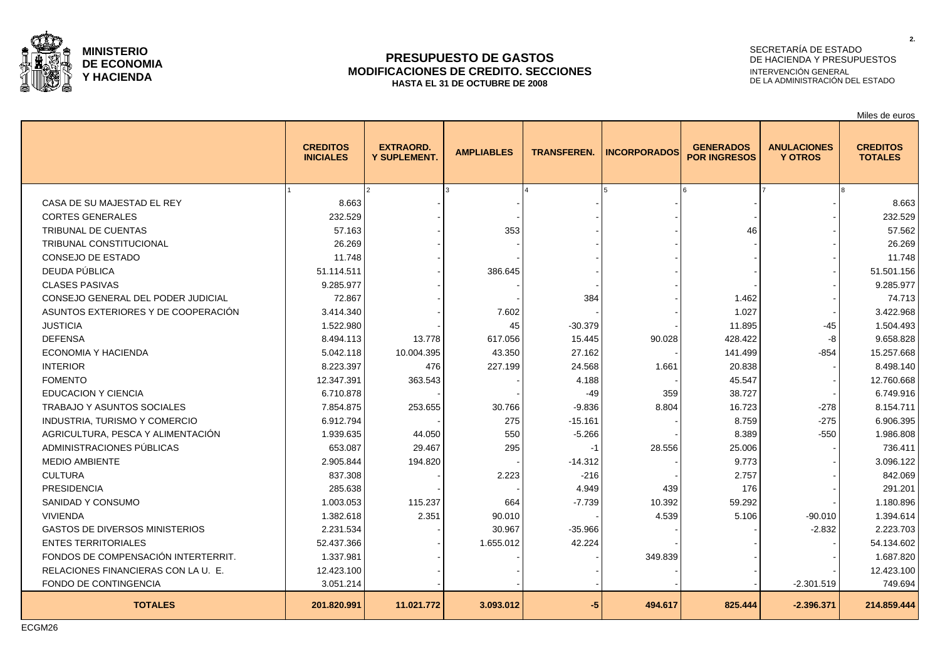

### **PRESUPUESTO DE GASTOS MODIFICACIONES DE CREDITO. SECCIONES HASTA EL 31 DE OCTUBRE DE 2008**

# SECRETARÍA DE ESTADO DE HACIENDA Y PRESUPUESTOS INTERVENCIÓN GENERAL DE LA ADMINISTRACIÓN DEL ESTADO

Miles de euros

**2.**

|                                       | <b>CREDITOS</b><br><b>INICIALES</b> | <b>EXTRAORD.</b><br><b>Y SUPLEMENT.</b> | <b>AMPLIABLES</b> | <b>TRANSFEREN.</b> | <b>INCORPORADOS</b> | <b>GENERADOS</b><br><b>POR INGRESOS</b> | <b>ANULACIONES</b><br><b>Y OTROS</b> | <b>CREDITOS</b><br><b>TOTALES</b> |
|---------------------------------------|-------------------------------------|-----------------------------------------|-------------------|--------------------|---------------------|-----------------------------------------|--------------------------------------|-----------------------------------|
|                                       |                                     |                                         |                   |                    |                     |                                         |                                      |                                   |
| CASA DE SU MAJESTAD EL REY            | 8.663                               |                                         |                   |                    |                     |                                         |                                      | 8.663                             |
| <b>CORTES GENERALES</b>               | 232.529                             |                                         |                   |                    |                     |                                         |                                      | 232.529                           |
| <b>TRIBUNAL DE CUENTAS</b>            | 57.163                              |                                         | 353               |                    |                     | 46                                      |                                      | 57.562                            |
| <b>TRIBUNAL CONSTITUCIONAL</b>        | 26.269                              |                                         |                   |                    |                     |                                         |                                      | 26.269                            |
| CONSEJO DE ESTADO                     | 11.748                              |                                         |                   |                    |                     |                                         |                                      | 11.748                            |
| DEUDA PÚBLICA                         | 51.114.511                          |                                         | 386.645           |                    |                     |                                         |                                      | 51.501.156                        |
| <b>CLASES PASIVAS</b>                 | 9.285.977                           |                                         |                   |                    |                     |                                         |                                      | 9.285.977                         |
| CONSEJO GENERAL DEL PODER JUDICIAL    | 72.867                              |                                         |                   | 384                |                     | 1.462                                   |                                      | 74.713                            |
| ASUNTOS EXTERIORES Y DE COOPERACIÓN   | 3.414.340                           |                                         | 7.602             |                    |                     | 1.027                                   |                                      | 3.422.968                         |
| <b>JUSTICIA</b>                       | 1.522.980                           |                                         | 45                | $-30.379$          |                     | 11.895                                  | -45                                  | 1.504.493                         |
| <b>DEFENSA</b>                        | 8.494.113                           | 13.778                                  | 617.056           | 15.445             | 90.028              | 428.422                                 | -8                                   | 9.658.828                         |
| ECONOMIA Y HACIENDA                   | 5.042.118                           | 10.004.395                              | 43.350            | 27.162             |                     | 141.499                                 | $-854$                               | 15.257.668                        |
| <b>INTERIOR</b>                       | 8.223.397                           | 476                                     | 227.199           | 24.568             | 1.661               | 20.838                                  |                                      | 8.498.140                         |
| <b>FOMENTO</b>                        | 12.347.391                          | 363.543                                 |                   | 4.188              |                     | 45.547                                  |                                      | 12.760.668                        |
| <b>EDUCACION Y CIENCIA</b>            | 6.710.878                           |                                         |                   | $-49$              | 359                 | 38.727                                  |                                      | 6.749.916                         |
| TRABAJO Y ASUNTOS SOCIALES            | 7.854.875                           | 253.655                                 | 30.766            | $-9.836$           | 8.804               | 16.723                                  | $-278$                               | 8.154.711                         |
| INDUSTRIA, TURISMO Y COMERCIO         | 6.912.794                           |                                         | 275               | $-15.161$          |                     | 8.759                                   | $-275$                               | 6.906.395                         |
| AGRICULTURA, PESCA Y ALIMENTACIÓN     | 1.939.635                           | 44.050                                  | 550               | $-5.266$           |                     | 8.389                                   | $-550$                               | 1.986.808                         |
| ADMINISTRACIONES PÚBLICAS             | 653.087                             | 29.467                                  | 295               | $-1$               | 28.556              | 25.006                                  |                                      | 736.411                           |
| <b>MEDIO AMBIENTE</b>                 | 2.905.844                           | 194.820                                 |                   | $-14.312$          |                     | 9.773                                   |                                      | 3.096.122                         |
| <b>CULTURA</b>                        | 837.308                             |                                         | 2.223             | $-216$             |                     | 2.757                                   |                                      | 842.069                           |
| <b>PRESIDENCIA</b>                    | 285.638                             |                                         |                   | 4.949              | 439                 | 176                                     |                                      | 291.201                           |
| SANIDAD Y CONSUMO                     | 1.003.053                           | 115.237                                 | 664               | $-7.739$           | 10.392              | 59.292                                  |                                      | 1.180.896                         |
| <b>VIVIENDA</b>                       | 1.382.618                           | 2.351                                   | 90.010            |                    | 4.539               | 5.106                                   | $-90.010$                            | 1.394.614                         |
| <b>GASTOS DE DIVERSOS MINISTERIOS</b> | 2.231.534                           |                                         | 30.967            | $-35.966$          |                     |                                         | $-2.832$                             | 2.223.703                         |
| <b>ENTES TERRITORIALES</b>            | 52.437.366                          |                                         | 1.655.012         | 42.224             |                     |                                         |                                      | 54.134.602                        |
| FONDOS DE COMPENSACIÓN INTERTERRIT.   | 1.337.981                           |                                         |                   |                    | 349.839             |                                         |                                      | 1.687.820                         |
| RELACIONES FINANCIERAS CON LA U. E    | 12.423.100                          |                                         |                   |                    |                     |                                         |                                      | 12.423.100                        |
| FONDO DE CONTINGENCIA                 | 3.051.214                           |                                         |                   |                    |                     |                                         | $-2.301.519$                         | 749.694                           |
| <b>TOTALES</b>                        | 201.820.991                         | 11.021.772                              | 3.093.012         | $-5$               | 494.617             | 825.444                                 | $-2.396.371$                         | 214.859.444                       |

ECGM26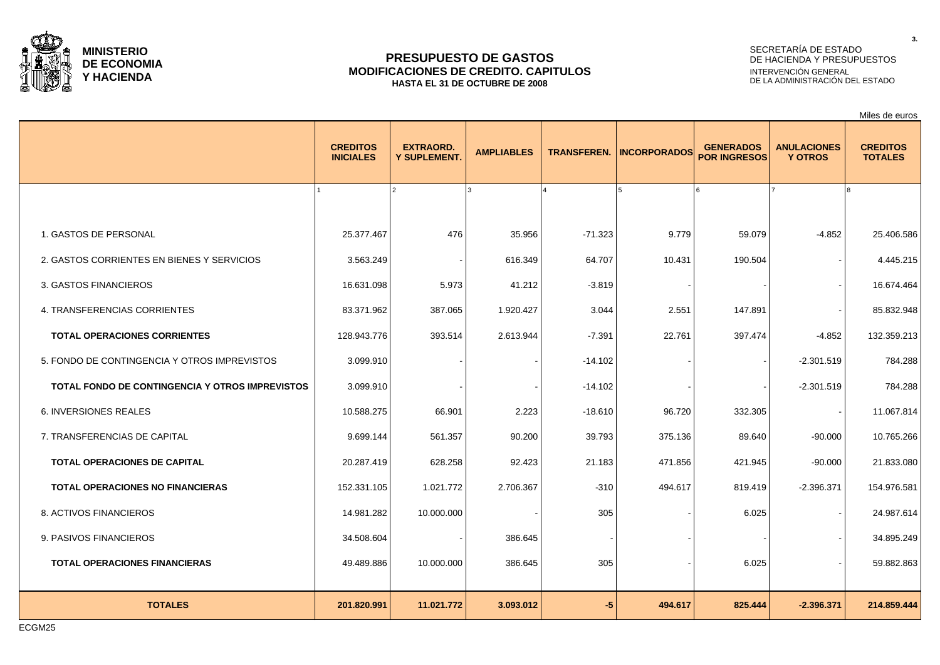

### **PRESUPUESTO DE GASTOS MODIFICACIONES DE CREDITO. CAPITULOS HASTA EL 31 DE OCTUBRE DE 2008**

# SECRETARÍA DE ESTADO DE HACIENDA Y PRESUPUESTOS INTERVENCIÓN GENERAL DE LA ADMINISTRACIÓN DEL ESTADO

|                                                 |                                     |                                         |                   |                    |                     |                                         |                                      | Miles de euros                    |
|-------------------------------------------------|-------------------------------------|-----------------------------------------|-------------------|--------------------|---------------------|-----------------------------------------|--------------------------------------|-----------------------------------|
|                                                 | <b>CREDITOS</b><br><b>INICIALES</b> | <b>EXTRAORD.</b><br><b>Y SUPLEMENT.</b> | <b>AMPLIABLES</b> | <b>TRANSFEREN.</b> | <b>INCORPORADOS</b> | <b>GENERADOS</b><br><b>POR INGRESOS</b> | <b>ANULACIONES</b><br><b>Y OTROS</b> | <b>CREDITOS</b><br><b>TOTALES</b> |
|                                                 |                                     |                                         |                   |                    |                     |                                         |                                      |                                   |
| 1. GASTOS DE PERSONAL                           | 25.377.467                          | 476                                     | 35.956            | $-71.323$          | 9.779               | 59.079                                  | $-4.852$                             | 25.406.586                        |
| 2. GASTOS CORRIENTES EN BIENES Y SERVICIOS      | 3.563.249                           |                                         | 616.349           | 64.707             | 10.431              | 190.504                                 |                                      | 4.445.215                         |
| 3. GASTOS FINANCIEROS                           | 16.631.098                          | 5.973                                   | 41.212            | $-3.819$           |                     |                                         |                                      | 16.674.464                        |
| 4. TRANSFERENCIAS CORRIENTES                    | 83.371.962                          | 387.065                                 | 1.920.427         | 3.044              | 2.551               | 147.891                                 |                                      | 85.832.948                        |
| <b>TOTAL OPERACIONES CORRIENTES</b>             | 128.943.776                         | 393.514                                 | 2.613.944         | $-7.391$           | 22.761              | 397.474                                 | $-4.852$                             | 132.359.213                       |
| 5. FONDO DE CONTINGENCIA Y OTROS IMPREVISTOS    | 3.099.910                           |                                         |                   | $-14.102$          |                     |                                         | $-2.301.519$                         | 784.288                           |
| TOTAL FONDO DE CONTINGENCIA Y OTROS IMPREVISTOS | 3.099.910                           |                                         |                   | $-14.102$          |                     |                                         | $-2.301.519$                         | 784.288                           |
| 6. INVERSIONES REALES                           | 10.588.275                          | 66.901                                  | 2.223             | $-18.610$          | 96.720              | 332.305                                 |                                      | 11.067.814                        |
| 7. TRANSFERENCIAS DE CAPITAL                    | 9.699.144                           | 561.357                                 | 90.200            | 39.793             | 375.136             | 89.640                                  | $-90.000$                            | 10.765.266                        |
| TOTAL OPERACIONES DE CAPITAL                    | 20.287.419                          | 628.258                                 | 92.423            | 21.183             | 471.856             | 421.945                                 | $-90.000$                            | 21.833.080                        |
| <b>TOTAL OPERACIONES NO FINANCIERAS</b>         | 152.331.105                         | 1.021.772                               | 2.706.367         | $-310$             | 494.617             | 819.419                                 | $-2.396.371$                         | 154.976.581                       |
| 8. ACTIVOS FINANCIEROS                          | 14.981.282                          | 10.000.000                              |                   | 305                |                     | 6.025                                   |                                      | 24.987.614                        |
| 9. PASIVOS FINANCIEROS                          | 34.508.604                          |                                         | 386.645           |                    |                     |                                         |                                      | 34.895.249                        |
| <b>TOTAL OPERACIONES FINANCIERAS</b>            | 49.489.886                          | 10.000.000                              | 386.645           | 305                |                     | 6.025                                   |                                      | 59.882.863                        |
| <b>TOTALES</b>                                  | 201.820.991                         | 11.021.772                              | 3.093.012         | $-5$               | 494.617             | 825.444                                 | $-2.396.371$                         | 214.859.444                       |

ECGM25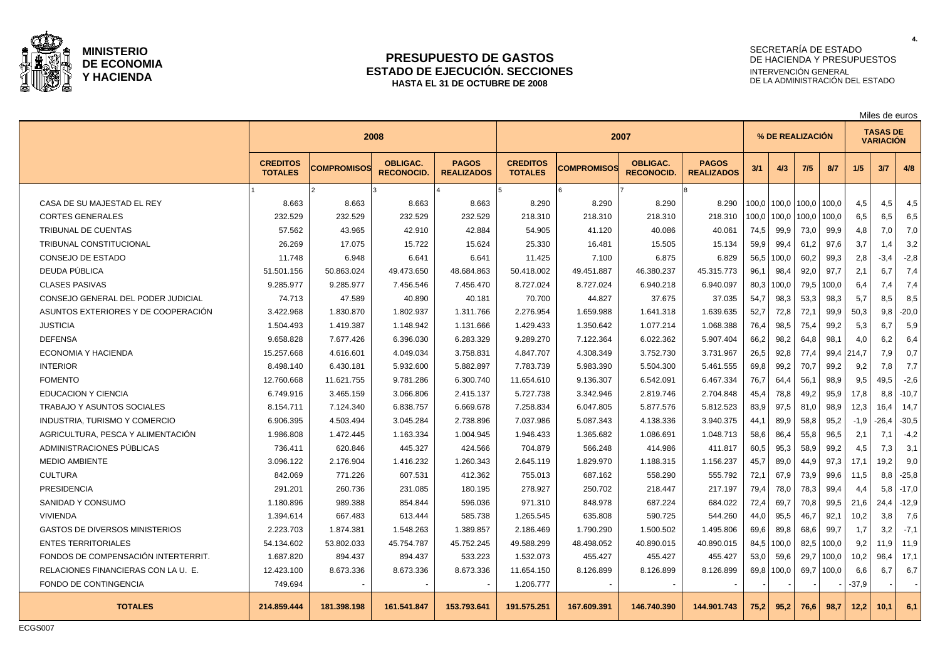

#### **PRESUPUESTO DE GASTOS ESTADO DE EJECUCIÓN. SECCIONES HASTA EL 31 DE OCTUBRE DE 2008**

# SECRETARÍA DE ESTADO DE HACIENDA Y PRESUPUESTOS INTERVENCIÓN GENERAL DE LA ADMINISTRACIÓN DEL ESTADO

|                                       | 2008                              |                    |                                      | 2007                              |                                   |                    |                                      | % DE REALIZACIÓN                  |       |       |       |       | <b>TASAS DE</b><br><b>VARIACIÓN</b> |         |         |
|---------------------------------------|-----------------------------------|--------------------|--------------------------------------|-----------------------------------|-----------------------------------|--------------------|--------------------------------------|-----------------------------------|-------|-------|-------|-------|-------------------------------------|---------|---------|
|                                       | <b>CREDITOS</b><br><b>TOTALES</b> | <b>COMPROMISOS</b> | <b>OBLIGAC.</b><br><b>RECONOCID.</b> | <b>PAGOS</b><br><b>REALIZADOS</b> | <b>CREDITOS</b><br><b>TOTALES</b> | <b>COMPROMISOS</b> | <b>OBLIGAC.</b><br><b>RECONOCID.</b> | <b>PAGOS</b><br><b>REALIZADOS</b> | 3/1   | 4/3   | 7/5   | 8/7   | 1/5                                 | 3/7     | 4/8     |
|                                       |                                   | $\mathcal{P}$      |                                      |                                   |                                   | l 6                |                                      | lя                                |       |       |       |       |                                     |         |         |
| CASA DE SU MAJESTAD EL REY            | 8.663                             | 8.663              | 8.663                                | 8.663                             | 8.290                             | 8.290              | 8.290                                | 8.290                             | 100.0 | 100.0 | 100.0 | 100.0 | 4,5                                 | 4,5     | 4,5     |
| <b>CORTES GENERALES</b>               | 232.529                           | 232.529            | 232.529                              | 232.529                           | 218.310                           | 218.310            | 218.310                              | 218.310                           | 100,0 | 100,0 | 100,0 | 100,0 | 6,5                                 | 6,5     | 6,5     |
| <b>TRIBUNAL DE CUENTAS</b>            | 57.562                            | 43.965             | 42.910                               | 42.884                            | 54.905                            | 41.120             | 40.086                               | 40.061                            | 74,5  | 99,9  | 73,0  | 99,9  | 4,8                                 | 7,0     | 7,0     |
| <b>TRIBUNAL CONSTITUCIONAL</b>        | 26.269                            | 17.075             | 15.722                               | 15.624                            | 25.330                            | 16.481             | 15.505                               | 15.134                            | 59,9  | 99,4  | 61,2  | 97,6  | 3,7                                 | 1.4     | 3,2     |
| CONSEJO DE ESTADO                     | 11.748                            | 6.948              | 6.641                                | 6.641                             | 11.425                            | 7.100              | 6.875                                | 6.829                             | 56,5  | 100,0 | 60,2  | 99,3  | 2,8                                 | $-3,4$  | $-2,8$  |
| DEUDA PÚBLICA                         | 51.501.156                        | 50.863.024         | 49.473.650                           | 48.684.863                        | 50.418.002                        | 49.451.887         | 46.380.237                           | 45.315.773                        | 96,1  | 98,4  | 92,0  | 97,7  | 2,1                                 | 6,7     | 7,4     |
| <b>CLASES PASIVAS</b>                 | 9.285.977                         | 9.285.977          | 7.456.546                            | 7.456.470                         | 8.727.024                         | 8.727.024          | 6.940.218                            | 6.940.097                         | 80,3  | 100,0 | 79,5  | 100,0 | 6,4                                 | 7,4     | 7,4     |
| CONSEJO GENERAL DEL PODER JUDICIAL    | 74.713                            | 47.589             | 40.890                               | 40.181                            | 70.700                            | 44.827             | 37.675                               | 37.035                            | 54,7  | 98,3  | 53,3  | 98,3  | 5,7                                 | 8,5     | 8,5     |
| ASUNTOS EXTERIORES Y DE COOPERACIÓN   | 3.422.968                         | 1.830.870          | 1.802.937                            | 1.311.766                         | 2.276.954                         | 1.659.988          | 1.641.318                            | 1.639.635                         | 52,7  | 72,8  | 72,1  | 99,9  | 50,3                                | 9,8     | $-20,0$ |
| <b>JUSTICIA</b>                       | 1.504.493                         | 1.419.387          | 1.148.942                            | 1.131.666                         | 1.429.433                         | 1.350.642          | 1.077.214                            | 1.068.388                         | 76,4  | 98,5  | 75,4  | 99,2  | 5,3                                 | 6,7     | 5,9     |
| <b>DEFENSA</b>                        | 9.658.828                         | 7.677.426          | 6.396.030                            | 6.283.329                         | 9.289.270                         | 7.122.364          | 6.022.362                            | 5.907.404                         | 66,2  | 98,2  | 64.8  | 98.1  | 4,0                                 | 6,2     | 6,4     |
| ECONOMIA Y HACIENDA                   | 15.257.668                        | 4.616.601          | 4.049.034                            | 3.758.831                         | 4.847.707                         | 4.308.349          | 3.752.730                            | 3.731.967                         | 26,5  | 92,8  | 77,4  | 99,4  | 214.7                               | 7,9     | 0,7     |
| <b>INTERIOR</b>                       | 8.498.140                         | 6.430.181          | 5.932.600                            | 5.882.897                         | 7.783.739                         | 5.983.390          | 5.504.300                            | 5.461.555                         | 69,8  | 99,2  | 70,7  | 99,2  | 9,2                                 | 7,8     | 7,7     |
| <b>FOMENTO</b>                        | 12.760.668                        | 11.621.755         | 9.781.286                            | 6.300.740                         | 11.654.610                        | 9.136.307          | 6.542.091                            | 6.467.334                         | 76,7  | 64,4  | 56,1  | 98,9  | 9,5                                 | 49,5    | $-2,6$  |
| <b>EDUCACION Y CIENCIA</b>            | 6.749.916                         | 3.465.159          | 3.066.806                            | 2.415.137                         | 5.727.738                         | 3.342.946          | 2.819.746                            | 2.704.848                         | 45,4  | 78,8  | 49,2  | 95,9  | 17,8                                | 8,8     | $-10,7$ |
| <b>TRABAJO Y ASUNTOS SOCIALES</b>     | 8.154.711                         | 7.124.340          | 6.838.757                            | 6.669.678                         | 7.258.834                         | 6.047.805          | 5.877.576                            | 5.812.523                         | 83,9  | 97,5  | 81.0  | 98.9  | 12,3                                | 16.4    | 14.7    |
| <b>INDUSTRIA, TURISMO Y COMERCIO</b>  | 6.906.395                         | 4.503.494          | 3.045.284                            | 2.738.896                         | 7.037.986                         | 5.087.343          | 4.138.336                            | 3.940.375                         | 44.1  | 89,9  | 58,8  | 95,2  | $-1,9$                              | $-26.4$ | $-30,5$ |
| AGRICULTURA, PESCA Y ALIMENTACIÓN     | 1.986.808                         | 1.472.445          | 1.163.334                            | 1.004.945                         | 1.946.433                         | 1.365.682          | 1.086.691                            | 1.048.713                         | 58,6  | 86,4  | 55,8  | 96,5  | 2,1                                 | 7.1     | $-4,2$  |
| ADMINISTRACIONES PUBLICAS             | 736.411                           | 620.846            | 445.327                              | 424.566                           | 704.879                           | 566.248            | 414.986                              | 411.817                           | 60,5  | 95,3  | 58,9  | 99,2  | 4,5                                 | 7,3     | 3,1     |
| <b>MEDIO AMBIENTE</b>                 | 3.096.122                         | 2.176.904          | 1.416.232                            | 1.260.343                         | 2.645.119                         | 1.829.970          | 1.188.315                            | 1.156.237                         | 45,7  | 89,0  | 44,9  | 97,3  | 17,1                                | 19.2    | 9,0     |
| <b>CULTURA</b>                        | 842.069                           | 771.226            | 607.531                              | 412.362                           | 755.013                           | 687.162            | 558.290                              | 555.792                           | 72,1  | 67,9  | 73,9  | 99.6  | 11,5                                | 8.8     | $-25,8$ |
| <b>PRESIDENCIA</b>                    | 291.201                           | 260.736            | 231.085                              | 180.195                           | 278.927                           | 250.702            | 218.447                              | 217.197                           | 79,4  | 78,0  | 78,3  | 99.4  | 4,4                                 | 5.8     | $-17.0$ |
| SANIDAD Y CONSUMO                     | 1.180.896                         | 989.388            | 854.844                              | 596.036                           | 971.310                           | 848.978            | 687.224                              | 684.022                           | 72,4  | 69,7  | 70,8  | 99,5  | 21,6                                | 24.4    | $-12,9$ |
| <b>VIVIENDA</b>                       | 1.394.614                         | 667.483            | 613.444                              | 585.738                           | 1.265.545                         | 635.808            | 590.725                              | 544.260                           | 44,0  | 95,5  | 46,7  | 92,1  | 10,2                                | 3,8     | 7,6     |
| <b>GASTOS DE DIVERSOS MINISTERIOS</b> | 2.223.703                         | 1.874.381          | 1.548.263                            | 1.389.857                         | 2.186.469                         | 1.790.290          | 1.500.502                            | 1.495.806                         | 69,6  | 89,8  | 68,6  | 99,7  | 1,7                                 | 3,2     | $-7,1$  |
| <b>ENTES TERRITORIALES</b>            | 54.134.602                        | 53.802.033         | 45.754.787                           | 45.752.245                        | 49.588.299                        | 48.498.052         | 40.890.015                           | 40.890.015                        | 84,5  | 100,0 | 82,5  | 100,0 | 9,2                                 | 11,9    | 11,9    |
| FONDOS DE COMPENSACIÓN INTERTERRIT.   | 1.687.820                         | 894.437            | 894.437                              | 533.223                           | 1.532.073                         | 455.427            | 455.427                              | 455.427                           | 53.0  | 59.6  | 29.7  | 100.0 | 10,2                                | 96.4    | 17,1    |
| RELACIONES FINANCIERAS CON LA U. E.   | 12.423.100                        | 8.673.336          | 8.673.336                            | 8.673.336                         | 11.654.150                        | 8.126.899          | 8.126.899                            | 8.126.899                         | 69,8  | 100,0 | 69,7  | 100,0 | 6,6                                 | 6,7     | 6,7     |
| FONDO DE CONTINGENCIA                 | 749.694                           |                    |                                      |                                   | 1.206.777                         |                    |                                      |                                   |       |       |       |       | $-37,9$                             |         |         |
| <b>TOTALES</b>                        | 214.859.444                       | 181.398.198        | 161.541.847                          | 153.793.641                       | 191.575.251                       | 167.609.391        | 146.740.390                          | 144.901.743                       | 75,2  | 95,2  | 76,6  | 98,7  | 12,2                                | 10,1    | 6,1     |

ECGS007

Miles de euros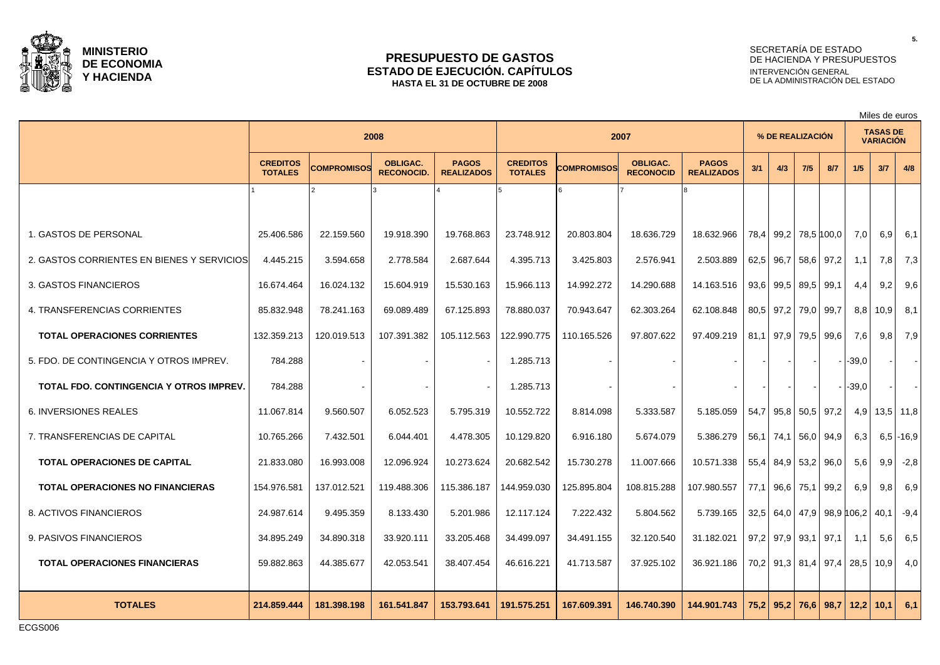

### **PRESUPUESTO DE GASTOS ESTADO DE EJECUCIÓN. CAPÍTULOS HASTA EL 31 DE OCTUBRE DE 2008**

# SECRETARÍA DE ESTADO DE HACIENDA Y PRESUPUESTOS INTERVENCIÓN GENERAL DE LA ADMINISTRACIÓN DEL ESTADO

Miles de euros

|                                            | 2008                              |                    |                                      | 2007                              |                                   |                    |                                     | % DE REALIZACIÓN                  |      |                           |           | <b>TASAS DE</b><br><b>VARIACIÓN</b> |                           |      |                |
|--------------------------------------------|-----------------------------------|--------------------|--------------------------------------|-----------------------------------|-----------------------------------|--------------------|-------------------------------------|-----------------------------------|------|---------------------------|-----------|-------------------------------------|---------------------------|------|----------------|
|                                            | <b>CREDITOS</b><br><b>TOTALES</b> | <b>COMPROMISOS</b> | <b>OBLIGAC.</b><br><b>RECONOCID.</b> | <b>PAGOS</b><br><b>REALIZADOS</b> | <b>CREDITOS</b><br><b>TOTALES</b> | <b>COMPROMISOS</b> | <b>OBLIGAC.</b><br><b>RECONOCID</b> | <b>PAGOS</b><br><b>REALIZADOS</b> | 3/1  | 4/3                       | 7/5       | 8/7                                 | 1/5                       | 3/7  | 4/8            |
|                                            |                                   |                    |                                      |                                   |                                   |                    |                                     |                                   |      |                           |           |                                     |                           |      |                |
| 1. GASTOS DE PERSONAL                      | 25.406.586                        | 22.159.560         | 19.918.390                           | 19.768.863                        | 23.748.912                        | 20.803.804         | 18.636.729                          | 18.632.966                        | 78,4 | 99,2   78,5   100,0       |           |                                     | 7,0                       | 6.91 | 6,1            |
| 2. GASTOS CORRIENTES EN BIENES Y SERVICIOS | 4.445.215                         | 3.594.658          | 2.778.584                            | 2.687.644                         | 4.395.713                         | 3.425.803          | 2.576.941                           | 2.503.889                         | 62,5 | 96,7                      |           | 58,6 97,2                           | 1,1                       | 7,8  | 7,3            |
| 3. GASTOS FINANCIEROS                      | 16.674.464                        | 16.024.132         | 15.604.919                           | 15.530.163                        | 15.966.113                        | 14.992.272         | 14.290.688                          | 14.163.516                        | 93,6 | 99,5                      | 89,5 99,1 |                                     | 4,4                       | 9,2  | 9,6            |
| 4. TRANSFERENCIAS CORRIENTES               | 85.832.948                        | 78.241.163         | 69.089.489                           | 67.125.893                        | 78.880.037                        | 70.943.647         | 62.303.264                          | 62.108.848                        |      | 80.5 97.2 79.0 99.7       |           |                                     | 8,8                       | 10.9 | 8,1            |
| <b>TOTAL OPERACIONES CORRIENTES</b>        | 132.359.213                       | 120.019.513        | 107.391.382                          | 105.112.563                       | 122.990.775                       | 110.165.526        | 97.807.622                          | 97.409.219                        |      | 81,1 97,9 79,5 99,6       |           |                                     | 7,6                       | 9,8  | 7,9            |
| 5. FDO. DE CONTINGENCIA Y OTROS IMPREV.    | 784.288                           |                    |                                      |                                   | 1.285.713                         |                    |                                     |                                   |      |                           |           |                                     | -39,0                     |      | $\blacksquare$ |
| TOTAL FDO. CONTINGENCIA Y OTROS IMPREV.    | 784.288                           |                    |                                      |                                   | 1.285.713                         |                    |                                     |                                   |      |                           |           |                                     | -39.0                     |      | $\sim$         |
| <b>6. INVERSIONES REALES</b>               | 11.067.814                        | 9.560.507          | 6.052.523                            | 5.795.319                         | 10.552.722                        | 8.814.098          | 5.333.587                           | 5.185.059                         | 54,7 | 95.8 50.5 97.2            |           |                                     | 4,9                       |      | $13,5$ 11,8    |
| 7. TRANSFERENCIAS DE CAPITAL               | 10.765.266                        | 7.432.501          | 6.044.401                            | 4.478.305                         | 10.129.820                        | 6.916.180          | 5.674.079                           | 5.386.279                         |      | 56,1   74,1   56,0   94,9 |           |                                     | 6,3                       |      | $6,5$ -16,9    |
| <b>TOTAL OPERACIONES DE CAPITAL</b>        | 21.833.080                        | 16.993.008         | 12.096.924                           | 10.273.624                        | 20.682.542                        | 15.730.278         | 11.007.666                          | 10.571.338                        | 55,4 | 84,9 53,2 96,0            |           |                                     | 5,6                       | 9.9  | $-2,8$         |
| <b>TOTAL OPERACIONES NO FINANCIERAS</b>    | 154.976.581                       | 137.012.521        | 119.488.306                          | 115.386.187                       | 144.959.030                       | 125.895.804        | 108.815.288                         | 107.980.557                       | 77,1 | 96,6                      | 75,1      | 99,2                                | 6,9                       | 9,8  | 6,9            |
| 8. ACTIVOS FINANCIEROS                     | 24.987.614                        | 9.495.359          | 8.133.430                            | 5.201.986                         | 12.117.124                        | 7.222.432          | 5.804.562                           | 5.739.165                         |      |                           |           |                                     | 32.5 64.0 47.9 98.9 106.2 | 40.1 | $-9,4$         |
| 9. PASIVOS FINANCIEROS                     | 34.895.249                        | 34.890.318         | 33.920.111                           | 33.205.468                        | 34.499.097                        | 34.491.155         | 32.120.540                          | 31.182.021                        |      | $97,2$ 97,9 93,1 97,1     |           |                                     | 1,1                       | 5.6  | 6,5            |
| <b>TOTAL OPERACIONES FINANCIERAS</b>       | 59.882.863                        | 44.385.677         | 42.053.541                           | 38.407.454                        | 46.616.221                        | 41.713.587         | 37.925.102                          | 36.921.186                        |      |                           |           |                                     | 70,2 91,3 81,4 97,4 28,5  | 10.9 | 4,0            |
| <b>TOTALES</b>                             | 214.859.444                       | 181.398.198        | 161.541.847                          | 153.793.641                       | 191.575.251                       | 167.609.391        | 146.740.390                         | 144.901.743                       | 75,2 | 95,2                      |           |                                     | $76,6$ 98,7 12,2          | 10.1 | 6,1            |

ECGS006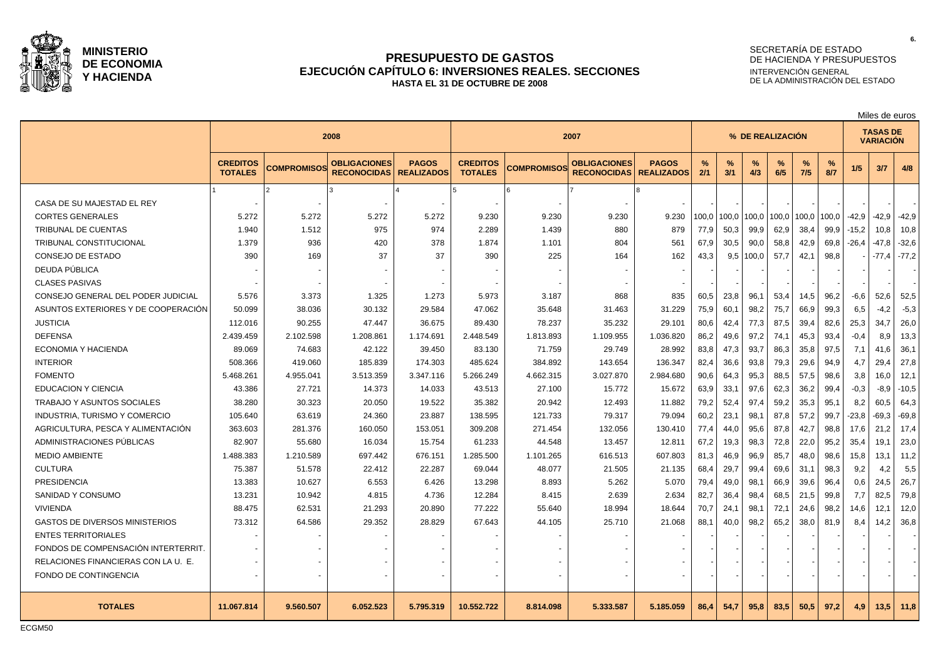

### **PRESUPUESTO DE GASTOS EJECUCIÓN CAPÍTULO 6: INVERSIONES REALES. SECCIONES HASTA EL 31 DE OCTUBRE DE 2008**

#### SECRETARÍA DE ESTADO DE HACIENDA Y PRESUPUESTOS INTERVENCIÓN GENERAL DE LA ADMINISTRACIÓN DEL ESTADO

**<sup>2008</sup> <sup>2007</sup> % DE REALIZACIÓN TASAS DE VARIACIÓN CREDITOS TOTALES COMPROMISOS OBLIGACIONES RECONOCIDAS PAGOS REALIZADOS CREDITOS TOTALES COMPROMISOS OBLIGACIONES RECONOCIDAS PAGOS REALIZADOS % 2/1 % 3/1 % 4/3 % 6/5 % 7/5 % 8/7 1/5 3/7 4/8** 1 2 3 4 5 6 7 8 CASA DE SU MAJESTAD EL REY CORTES GENERALES | 5.272 | 5.272 | 5.272 | 5.272 | 9.230 | 9.230 | 9.230 | 9.230 |100,0 |100,0 |100,0 |100,0 |100,0 |100,0 |100,0 |100,0 | -42,9 | -42,9 | -42,9 TRIBUNAL DE CUENTAS 1.940 | 1.512 | 975 | 2.289 | 1.439 | 880 | 879 |77,9 |50,3 |99,9 | 62,9 | 38,4 | 99,9 | -15,2 | 10,8 | 10,8 | 10,8 TRIBUNAL CONSTITUCIONAL 1.379 936 420 378 1.874 1.101 804 561 67,9 30,5 90,0 58,8 42,9 69,8 -26,4 -47,8 -32,6 CONSEJO DE ESTADO | 390 | 169 | 37 | 37 | 390 | 225 | 164 | 162 | 43,3 | 9,5 |100,0 | 57,7 | 42,1 | 98,8 | - | -77,4 | -77,2 DEUDA PÚBLICA - - - - - - - - - - - - - - - - - CLASES PASIVAS - | - | - | - | - | - | - | - | -| -| -| -| -| -| -| - | -CONSEJO GENERAL DEL PODER JUDICIAL | 5.576 | 3.373 | 1.325 | 1.273 | 5.973 | 3.187 | 868 | 835 | 60,5 | 23,8 | 96,1 | 53,4 | 14,5 | 96,2 | -6,6 | 52,6 | 52,5 ASUNTOS EXTERIORES Y DE COOPERACIÓN  $\begin{array}{ccc} 50.099 & 38.036 & 30.132 & 30.132 & 29.584 & 47.062 & 35.648 & 31.463 & 31.229 & 75.9 & 60.1 & 98.2 & 75.7 & 66.9 & 99.3 & 6.5 & -4.2 & -5.3 & -4.2 & -5.3 & -4.2 & -5.3 & -4.2 & -5.3 & -5.3 & -5.3 & -5.3 & -5.3 & -5.3 &$ JUSTICIA 112.016 | 90.255 | 47.447 | 36.675 | 89.430 | 78.237 | 35.232 | 29.101 |80,6 |42,4 |77,3 |87,5 |39,4 |82,6 |25,3 |34,7 |26,0 | 26,0 | 35.232 | 29.101 | 20.6 | 42,4 | 77,3 | 87,5 | 39,4 | 82,6 | 25,3 | 34,7 | 26,0 DEFENSA 2.439.459 2.102.598 1.208.861 1.174.691 2.448.549 1.813.893 1.109.955 1.036.820 86,2 49,6 97,2 74,1 45,3 93,4 -0,4 8,9 13,3 ECONOMIA Y HACIENDA | 89.069 | 74.683 | 42.122 | 39.450 | 83.130 | 71.759 | 29.749 | 28.992 | 83,8 | 47,3 | 93,7 | 86,3 | 35,8 | 97,5 | 7,1 | 41,6 | 36,1 INTERIOR 508.366 419.060 185.839 174.303 485.624 384.892 143.654 136.347 82,4 36,6 93,8 79,3 29,6 94,9 4,7 29,4 27,8 FOMENTO 5.468.261 4.955.041 3.513.359 3.347.116 5.266.249 4.662.315 3.027.870 2.984.680 90,6 64,3 95,3 88,5 57,5 98,6 3,8 16,0 12,1 EDUCACION Y CIENCIA | 43.386 | 27.721 | 14.373 | 14.033 | 43.513 | 27.100 | 15.772 | 15.672 | 63,9 | 33,1 | 97,6 | 62,3 | 36,2 | 99,4 | -0,3 | -8,9 | -10,5 TRABAJO Y ASUNTOS SOCIALES 38.280 | 30.323 | 20.050 | 19.522 | 35.382 | 20.942 | 12.493 | 11.882 |79.2 |52.4 |97.4 |59.2 |35.3 |95.1 |8.2 |60.5 |64.3 INDUSTRIA, TURISMO Y COMERCIO 105.640 63.619 24.360 23.887 138.595 121.733 79.317 79.094 60,2 23,1 98,1 87,8 57,2 99,7 -23,8 -69,3 -69,8 AGRICULTURA, PESCA Y ALIMENTACIÓN | 363.603 | 281.376 | 160.050 | 153.051 | 309.208 | 271.454 | 132.056 | 130.410 | 77,4 | 44.0 | 95.6 | 87.8 | 42.7 | 98.8 | 17.6 | 21.2 | 17.4 ADMINISTRACIONES PÚBLICAS | 82.907 | 55.680 | 16.034 | 15.754 | 61.233 | 44.548 | 13.457 | 12.811 | 67.2 | 19.3 | 98.3 | 72.8 | 22.0 | 95.2 | 35.4 | 19.1 | 23.0 MEDIO AMBIENTE 1.488.383 | 1.210.589 | 697.442 | 676.151 | 1.285.500 | 1.101.265 | 616.513 | 607.803 | 81,3 | 46,9 | 96,9 | 85,7 | 48,0 | 98,6 | 15,8 | 13,1 | 11,2 CULTURA 51.578 | 22.412 | 22.287 | 69.044 | 48.077 | 21.505 | 21.135 | 68,4 | 29,7 | 99,4 | 69,6 | 31,1 | 98,3 | 9,2 | 4,2 | 5,5 PRESIDENCIA 13.383 10.627 6.553 6.426 13.298 8.893 5.262 5.070 79,4 49,0 98,1 66,9 39,6 96,4 0,6 24,5 26,7 SANIDAD Y CONSUMO | 13.231 | 10.942 | 4.815 | 4.736 | 12.284 | 8.415 | 2.639 | 2.634 | 82,7 | 36,4 | 98,4 | 68,5 | 21,5 | 99,8 | 7,7 | 82,5 | 79,8 VIVIENDA 88.475 62.531 21.293 20.890 77.222 55.640 18.994 18.644 70,7 24,1 98,1 72,1 24,6 98,2 14,6 12,1 12,0 GASTOS DE DIVERSOS MINISTERIOS | 73.312 | 64.586 | 29.352 | 28.829 | 67.643 | 44.105 | 25.710 | 21.068 | 88,1 | 40,0 | 98,2 | 65,2 | 38,0 | 81,9 | 8,4 | 14,2 | 36,8 ENTES TERRITORIALES - - - - - - - - - - - - - - - - - FONDOS DE COMPENSACIÓN INTERTERRIT. RELACIONES FINANCIERAS CON LA U. E. | Terminal Activity of Latin Activity of Latin Activity of Latin Activity o FONDO DE CONTINGENCIA - - - - - - - - - - - - - - - - - TOTALES | 11.067.814 | 9.560.507 | 6.052.523 | 5.795.319 | 10.552.722 | 8.814.098 | 5.333.587 | 5.185.059 | 86,4| 54,7| 95,8| 83,5| 50,5| 97,2| 4,9| 13,5| 11,8

ECGM50

Miles de euros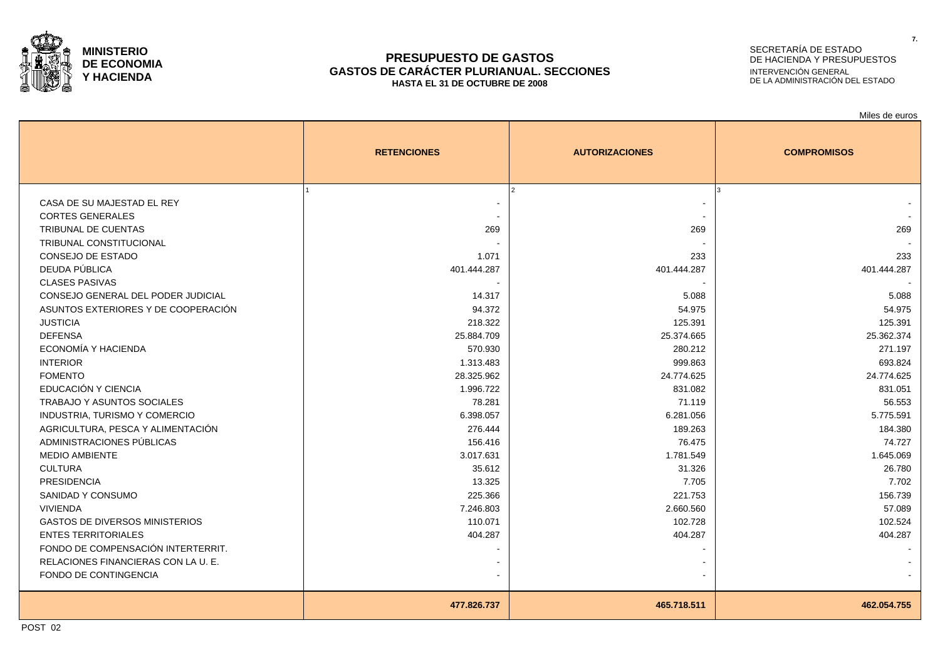

#### **PRESUPUESTO DE GASTOS GASTOS DE CARÁCTER PLURIANUAL. SECCIONES HASTA EL 31 DE OCTUBRE DE 2008**

# SECRETARÍA DE ESTADO DE HACIENDA Y PRESUPUESTOS INTERVENCIÓN GENERAL DE LA ADMINISTRACIÓN DEL ESTADO

|                                       |                    |                       | Miles de euros     |
|---------------------------------------|--------------------|-----------------------|--------------------|
|                                       | <b>RETENCIONES</b> | <b>AUTORIZACIONES</b> | <b>COMPROMISOS</b> |
|                                       |                    |                       |                    |
| CASA DE SU MAJESTAD EL REY            |                    |                       |                    |
| <b>CORTES GENERALES</b>               |                    |                       |                    |
| <b>TRIBUNAL DE CUENTAS</b>            | 269                | 269                   | 269                |
| <b>TRIBUNAL CONSTITUCIONAL</b>        |                    |                       |                    |
| <b>CONSEJO DE ESTADO</b>              | 1.071              | 233                   | 233                |
| DEUDA PÚBLICA                         | 401.444.287        | 401.444.287           | 401.444.287        |
| <b>CLASES PASIVAS</b>                 |                    |                       |                    |
| CONSEJO GENERAL DEL PODER JUDICIAL    | 14.317             | 5.088                 | 5.088              |
| ASUNTOS EXTERIORES Y DE COOPERACIÓN   | 94.372             | 54.975                | 54.975             |
| <b>JUSTICIA</b>                       | 218.322            | 125.391               | 125.391            |
| <b>DEFENSA</b>                        | 25.884.709         | 25.374.665            | 25.362.374         |
| ECONOMÍA Y HACIENDA                   | 570.930            | 280.212               | 271.197            |
| <b>INTERIOR</b>                       | 1.313.483          | 999.863               | 693.824            |
| <b>FOMENTO</b>                        | 28.325.962         | 24.774.625            | 24.774.625         |
| EDUCACIÓN Y CIENCIA                   | 1.996.722          | 831.082               | 831.051            |
| <b>TRABAJO Y ASUNTOS SOCIALES</b>     | 78.281             | 71.119                | 56.553             |
| <b>INDUSTRIA, TURISMO Y COMERCIO</b>  | 6.398.057          | 6.281.056             | 5.775.591          |
| AGRICULTURA, PESCA Y ALIMENTACIÓN     | 276.444            | 189.263               | 184.380            |
| ADMINISTRACIONES PÚBLICAS             | 156.416            | 76.475                | 74.727             |
| <b>MEDIO AMBIENTE</b>                 | 3.017.631          | 1.781.549             | 1.645.069          |
| <b>CULTURA</b>                        | 35.612             | 31.326                | 26.780             |
| <b>PRESIDENCIA</b>                    | 13.325             | 7.705                 | 7.702              |
| SANIDAD Y CONSUMO                     | 225.366            | 221.753               | 156.739            |
| <b>VIVIENDA</b>                       | 7.246.803          | 2.660.560             | 57.089             |
| <b>GASTOS DE DIVERSOS MINISTERIOS</b> | 110.071            | 102.728               | 102.524            |
| <b>ENTES TERRITORIALES</b>            | 404.287            | 404.287               | 404.287            |
| FONDO DE COMPENSACIÓN INTERTERRIT.    |                    |                       |                    |
| RELACIONES FINANCIERAS CON LA U. E.   |                    |                       |                    |
| FONDO DE CONTINGENCIA                 |                    |                       |                    |
|                                       | 477.826.737        | 465.718.511           | 462.054.755        |
|                                       |                    |                       |                    |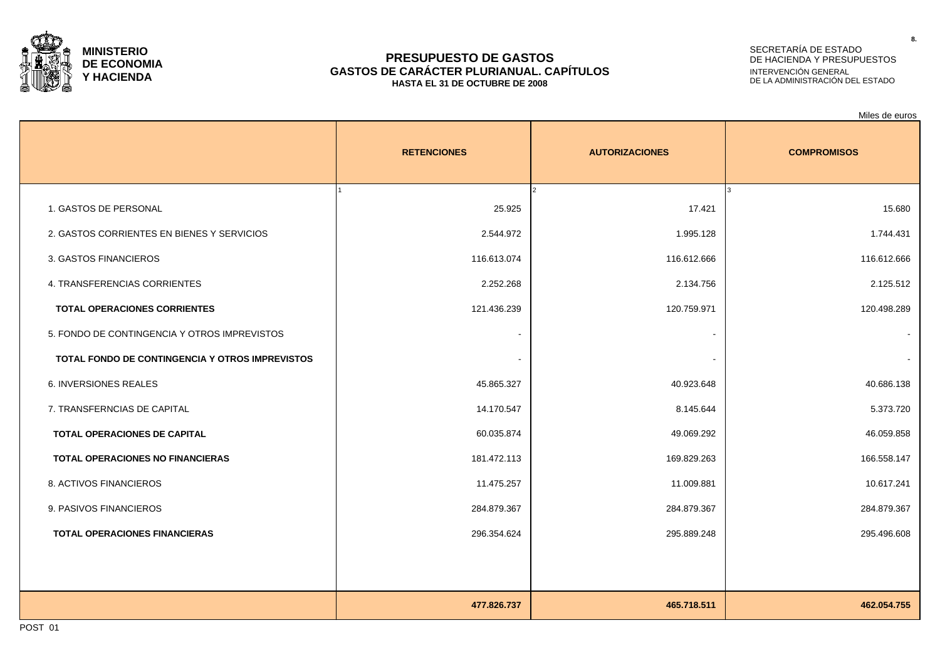

### **PRESUPUESTO DE GASTOS GASTOS DE CARÁCTER PLURIANUAL. CAPÍTULOS HASTA EL 31 DE OCTUBRE DE 2008**

# SECRETARÍA DE ESTADO DE HACIENDA Y PRESUPUESTOS INTERVENCIÓN GENERAL DE LA ADMINISTRACIÓN DEL ESTADO

Miles de euros

|                                                        | <b>RETENCIONES</b> | <b>AUTORIZACIONES</b>   | <b>COMPROMISOS</b> |
|--------------------------------------------------------|--------------------|-------------------------|--------------------|
| 1. GASTOS DE PERSONAL                                  | 25.925             | $\mathcal{P}$<br>17.421 | lз<br>15.680       |
| 2. GASTOS CORRIENTES EN BIENES Y SERVICIOS             | 2.544.972          | 1.995.128               | 1.744.431          |
| 3. GASTOS FINANCIEROS                                  | 116.613.074        | 116.612.666             | 116.612.666        |
| 4. TRANSFERENCIAS CORRIENTES                           | 2.252.268          | 2.134.756               | 2.125.512          |
| <b>TOTAL OPERACIONES CORRIENTES</b>                    | 121.436.239        | 120.759.971             | 120.498.289        |
| 5. FONDO DE CONTINGENCIA Y OTROS IMPREVISTOS           |                    |                         |                    |
| <b>TOTAL FONDO DE CONTINGENCIA Y OTROS IMPREVISTOS</b> |                    | $\blacksquare$          |                    |
| <b>6. INVERSIONES REALES</b>                           | 45.865.327         | 40.923.648              | 40.686.138         |
| 7. TRANSFERNCIAS DE CAPITAL                            | 14.170.547         | 8.145.644               | 5.373.720          |
| TOTAL OPERACIONES DE CAPITAL                           | 60.035.874         | 49.069.292              | 46.059.858         |
| <b>TOTAL OPERACIONES NO FINANCIERAS</b>                | 181.472.113        | 169.829.263             | 166.558.147        |
| 8. ACTIVOS FINANCIEROS                                 | 11.475.257         | 11.009.881              | 10.617.241         |
| 9. PASIVOS FINANCIEROS                                 | 284.879.367        | 284.879.367             | 284.879.367        |
| <b>TOTAL OPERACIONES FINANCIERAS</b>                   | 296.354.624        | 295.889.248             | 295.496.608        |
|                                                        |                    |                         |                    |
|                                                        | 477.826.737        | 465.718.511             | 462.054.755        |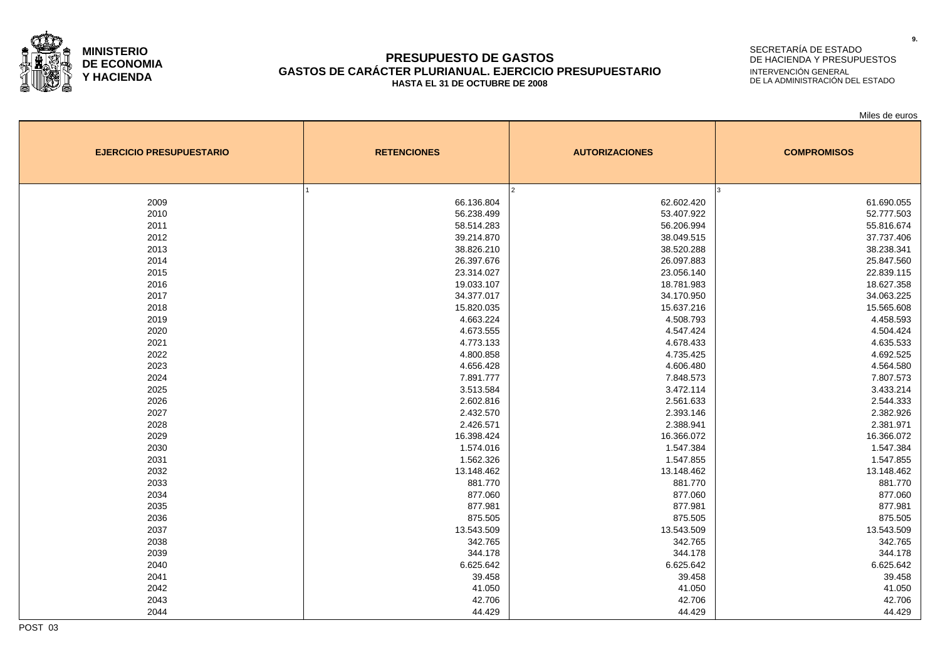

### **PRESUPUESTO DE GASTOS GASTOS DE CARÁCTER PLURIANUAL. EJERCICIO PRESUPUESTARIO HASTA EL 31 DE OCTUBRE DE 2008**

# SECRETARÍA DE ESTADO DE HACIENDA Y PRESUPUESTOS INTERVENCIÓN GENERAL DE LA ADMINISTRACIÓN DEL ESTADO

Miles de euros

| <b>EJERCICIO PRESUPUESTARIO</b> | <b>RETENCIONES</b> | <b>AUTORIZACIONES</b> | <b>COMPROMISOS</b> |  |  |
|---------------------------------|--------------------|-----------------------|--------------------|--|--|
|                                 |                    | l2                    |                    |  |  |
| 2009                            | 66.136.804         | 62.602.420            | 61.690.055         |  |  |
| 2010                            | 56.238.499         | 53.407.922            | 52.777.503         |  |  |
| 2011                            | 58.514.283         | 56.206.994            | 55.816.674         |  |  |
| 2012                            | 39.214.870         | 38.049.515            | 37.737.406         |  |  |
| 2013                            | 38.826.210         | 38.520.288            | 38.238.341         |  |  |
| 2014                            | 26.397.676         | 26.097.883            | 25.847.560         |  |  |
| 2015                            | 23.314.027         | 23.056.140            | 22.839.115         |  |  |
| 2016                            | 19.033.107         | 18.781.983            | 18.627.358         |  |  |
| 2017                            | 34.377.017         | 34.170.950            | 34.063.225         |  |  |
| 2018                            | 15.820.035         | 15.637.216            | 15.565.608         |  |  |
| 2019                            | 4.663.224          | 4.508.793             | 4.458.593          |  |  |
| 2020                            | 4.673.555          | 4.547.424             | 4.504.424          |  |  |
| 2021                            | 4.773.133          | 4.678.433             | 4.635.533          |  |  |
| 2022                            | 4.800.858          | 4.735.425             | 4.692.525          |  |  |
| 2023                            | 4.656.428          | 4.606.480             | 4.564.580          |  |  |
| 2024                            | 7.891.777          | 7.848.573             | 7.807.573          |  |  |
| 2025                            | 3.513.584          | 3.472.114             | 3.433.214          |  |  |
| 2026                            | 2.602.816          | 2.561.633             | 2.544.333          |  |  |
| 2027                            | 2.432.570          | 2.393.146             | 2.382.926          |  |  |
| 2028                            | 2.426.571          | 2.388.941             | 2.381.971          |  |  |
| 2029                            | 16.398.424         | 16.366.072            | 16.366.072         |  |  |
| 2030                            | 1.574.016          | 1.547.384             | 1.547.384          |  |  |
| 2031                            | 1.562.326          | 1.547.855             | 1.547.855          |  |  |
| 2032                            | 13.148.462         | 13.148.462            | 13.148.462         |  |  |
| 2033                            | 881.770            | 881.770               | 881.770            |  |  |
| 2034                            | 877.060            | 877.060               | 877.060            |  |  |
| 2035                            | 877.981            | 877.981               | 877.981            |  |  |
| 2036                            | 875.505            | 875.505               | 875.505            |  |  |
| 2037                            | 13.543.509         | 13.543.509            | 13.543.509         |  |  |
| 2038                            | 342.765            | 342.765               | 342.765            |  |  |
| 2039                            | 344.178            | 344.178               | 344.178            |  |  |
| 2040                            | 6.625.642          | 6.625.642             | 6.625.642          |  |  |
| 2041                            | 39.458             | 39.458                | 39.458             |  |  |
| 2042                            | 41.050             | 41.050                | 41.050             |  |  |
| 2043                            | 42.706             | 42.706                | 42.706             |  |  |
| 2044                            | 44.429             | 44.429                | 44.429             |  |  |